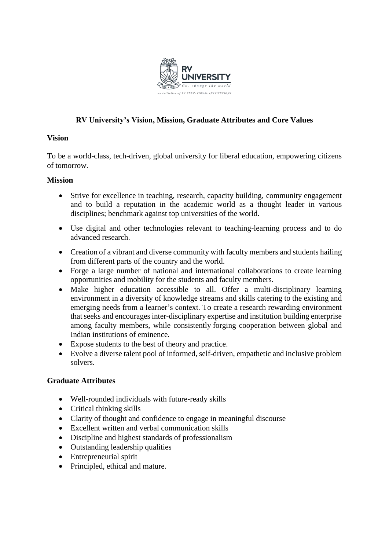

# **RV University's Vision, Mission, Graduate Attributes and Core Values**

### **Vision**

To be a world-class, tech-driven, global university for liberal education, empowering citizens of tomorrow.

#### **Mission**

- Strive for excellence in teaching, research, capacity building, community engagement and to build a reputation in the academic world as a thought leader in various disciplines; benchmark against top universities of the world.
- Use digital and other technologies relevant to teaching-learning process and to do advanced research.
- Creation of a vibrant and diverse community with faculty members and students hailing from different parts of the country and the world.
- Forge a large number of national and international collaborations to create learning opportunities and mobility for the students and faculty members.
- Make higher education accessible to all. Offer a multi-disciplinary learning environment in a diversity of knowledge streams and skills catering to the existing and emerging needs from a learner's context. To create a research rewarding environment that seeks and encourages inter-disciplinary expertise and institution building enterprise among faculty members, while consistently forging cooperation between global and Indian institutions of eminence.
- Expose students to the best of theory and practice.
- Evolve a diverse talent pool of informed, self-driven, empathetic and inclusive problem solvers.

### **Graduate Attributes**

- Well-rounded individuals with future-ready skills
- Critical thinking skills
- Clarity of thought and confidence to engage in meaningful discourse
- Excellent written and verbal communication skills
- Discipline and highest standards of professionalism
- Outstanding leadership qualities
- Entrepreneurial spirit
- Principled, ethical and mature.